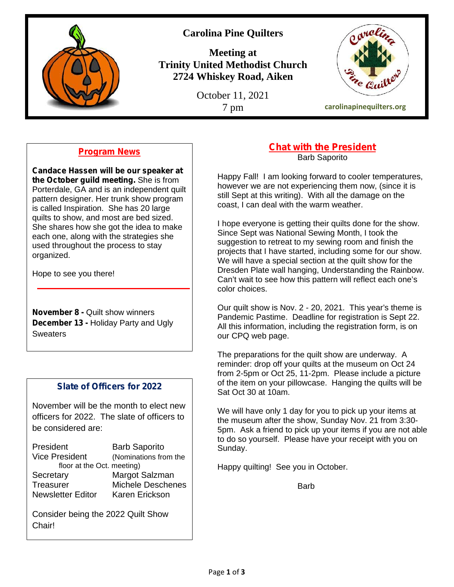

# **Carolina Pine Quilters**

**Meeting at Trinity United Methodist Church 2724 Whiskey Road, Aiken**

October 11, 2021



# **Program News**

**Candace Hassen will be our speaker at the October guild meeting.** She is from Porterdale, GA and is an independent quilt pattern designer. Her trunk show program is called Inspiration. She has 20 large quilts to show, and most are bed sized. She shares how she got the idea to make each one, along with the strategies she used throughout the process to stay organized.

Hope to see you there!

**November 8 -** Quilt show winners **December 13 -** Holiday Party and Ugly **Sweaters** 

### **Slate of Officers for 2022**

November will be the month to elect new officers for 2022. The slate of officers to be considered are:

| President                  | <b>Barb Saporito</b>     |  |
|----------------------------|--------------------------|--|
| <b>Vice President</b>      | (Nominations from the    |  |
| floor at the Oct. meeting) |                          |  |
| Secretary                  | Margot Salzman           |  |
| <b>Treasurer</b>           | <b>Michele Deschenes</b> |  |
| <b>Newsletter Editor</b>   | Karen Erickson           |  |

Consider being the 2022 Quilt Show Chair!

# **Chat with the President**

Barb Saporito

Happy Fall! I am looking forward to cooler temperatures, however we are not experiencing them now, (since it is still Sept at this writing). With all the damage on the coast, I can deal with the warm weather.

I hope everyone is getting their quilts done for the show. Since Sept was National Sewing Month, I took the suggestion to retreat to my sewing room and finish the projects that I have started, including some for our show. We will have a special section at the quilt show for the Dresden Plate wall hanging, Understanding the Rainbow. Can't wait to see how this pattern will reflect each one's color choices.

Our quilt show is Nov. 2 - 20, 2021. This year's theme is Pandemic Pastime. Deadline for registration is Sept 22. All this information, including the registration form, is on our CPQ web page.

The preparations for the quilt show are underway. A reminder: drop off your quilts at the museum on Oct 24 from 2-5pm or Oct 25, 11-2pm. Please include a picture of the item on your pillowcase. Hanging the quilts will be Sat Oct 30 at 10am.

We will have only 1 day for you to pick up your items at the museum after the show, Sunday Nov. 21 from 3:30- 5pm. Ask a friend to pick up your items if you are not able to do so yourself. Please have your receipt with you on Sunday.

Happy quilting! See you in October.

**Barb**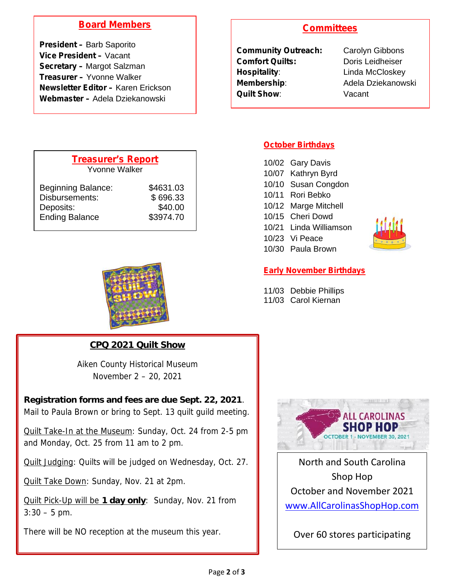## **Board Members**

**President –** Barb Saporito **Vice President –** Vacant **Secretary –** Margot Salzman **Treasurer –** Yvonne Walker **Newsletter Editor –** Karen Erickson **Webmaster –** Adela Dziekanowski

### **Committees**

| <b>Community Outreach:</b> | Carolyn Gib        |
|----------------------------|--------------------|
| <b>Comfort Quilts:</b>     | Doris Leidh        |
| Hospitality:               | Linda McClo        |
| <b>Membership:</b>         | <b>Adela Dzieł</b> |
| <b>Quilt Show:</b>         | Vacant             |
|                            |                    |

**rolyn Gibbons** ris Leidheiser **Hospital**<br>McCloskey **ela Dziekanowski** 

| <b>Treasurer's Report</b><br>Yvonne Walker |           |
|--------------------------------------------|-----------|
| <b>Beginning Balance:</b>                  | \$4631.03 |
| Disbursements:                             | \$696.33  |
| Deposits:                                  | \$40.00   |
| <b>Ending Balance</b>                      | \$3974.70 |



**CPQ 2021 Quilt Show**

Aiken County Historical Museum November 2 – 20, 2021

**Registration forms and fees are due Sept. 22, 2021**. Mail to Paula Brown or bring to Sept. 13 quilt guild meeting.

Quilt Take-In at the Museum: Sunday, Oct. 24 from 2-5 pm and Monday, Oct. 25 from 11 am to 2 pm.

Quilt Judging: Quilts will be judged on Wednesday, Oct. 27.

Quilt Take Down: Sunday, Nov. 21 at 2pm.

Quilt Pick-Up will be **1 day only**: Sunday, Nov. 21 from  $3:30 - 5$  pm.

There will be NO reception at the museum this year.

#### **October Birthdays**

| 10/02 Gary Davis       |  |
|------------------------|--|
| 10/07 Kathryn Byrd     |  |
| 10/10 Susan Congdon    |  |
| 10/11 Rori Bebko       |  |
| 10/12 Marge Mitchell   |  |
| 10/15 Cheri Dowd       |  |
| 10/21 Linda Williamson |  |
| 10/23 Vi Peace         |  |
| 10/30 Paula Brown      |  |
|                        |  |



#### **Early November Birthdays**

11/03 Debbie Phillips 11/03 Carol Kiernan



North and South Carolina Shop Hop October and November 2021 www.AllCarolinasShopHop.com

Over 60 stores participating